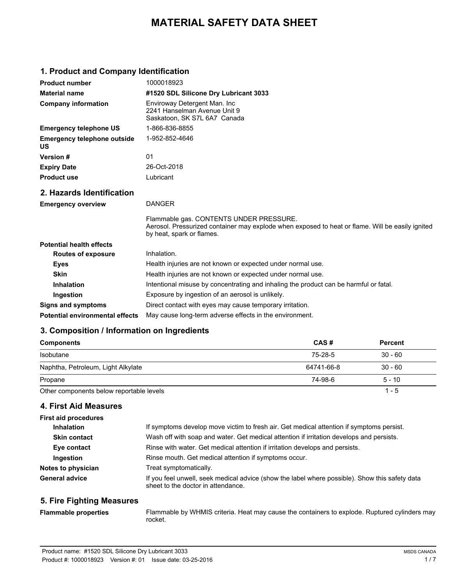# **MATERIAL SAFETY DATA SHEET**

### **1. Product and Company Identification**

| <b>Product number</b>                    | 1000018923                                                                                                                                                               |  |  |
|------------------------------------------|--------------------------------------------------------------------------------------------------------------------------------------------------------------------------|--|--|
| <b>Material name</b>                     | #1520 SDL Silicone Dry Lubricant 3033                                                                                                                                    |  |  |
| <b>Company information</b>               | Enviroway Detergent Man. Inc<br>2241 Hanselman Avenue Unit 9<br>Saskatoon, SK S7L 6A7 Canada                                                                             |  |  |
| <b>Emergency telephone US</b>            | 1-866-836-8855                                                                                                                                                           |  |  |
| <b>Emergency telephone outside</b><br>US | 1-952-852-4646                                                                                                                                                           |  |  |
| <b>Version#</b>                          | 01                                                                                                                                                                       |  |  |
| <b>Expiry Date</b>                       | 26-Oct-2018                                                                                                                                                              |  |  |
| <b>Product use</b>                       | Lubricant                                                                                                                                                                |  |  |
| 2. Hazards Identification                |                                                                                                                                                                          |  |  |
| <b>Emergency overview</b>                | <b>DANGER</b>                                                                                                                                                            |  |  |
|                                          | Flammable gas. CONTENTS UNDER PRESSURE.<br>Aerosol. Pressurized container may explode when exposed to heat or flame. Will be easily ignited<br>by heat, spark or flames. |  |  |
| <b>Potential health effects</b>          |                                                                                                                                                                          |  |  |
| <b>Routes of exposure</b>                | Inhalation.                                                                                                                                                              |  |  |
| <b>Eyes</b>                              | Health injuries are not known or expected under normal use.                                                                                                              |  |  |
| <b>Skin</b>                              | Health injuries are not known or expected under normal use.                                                                                                              |  |  |
| <b>Inhalation</b>                        | Intentional misuse by concentrating and inhaling the product can be harmful or fatal.                                                                                    |  |  |
| Ingestion                                | Exposure by ingestion of an aerosol is unlikely.                                                                                                                         |  |  |
| <b>Signs and symptoms</b>                | Direct contact with eyes may cause temporary irritation.                                                                                                                 |  |  |
| <b>Potential environmental effects</b>   | May cause long-term adverse effects in the environment.                                                                                                                  |  |  |

### **3. Composition / Information on Ingredients**

| <b>Components</b>                        | CAS#       | <b>Percent</b> |  |
|------------------------------------------|------------|----------------|--|
| Isobutane                                | 75-28-5    | $30 - 60$      |  |
| Naphtha, Petroleum, Light Alkylate       | 64741-66-8 | $30 - 60$      |  |
| Propane                                  | 74-98-6    | $5 - 10$       |  |
| Other components below reportable levels |            | $1 - 5$        |  |

#### **4. First Aid Measures**

| <b>First aid procedures</b> |                                                                                                                                      |  |  |
|-----------------------------|--------------------------------------------------------------------------------------------------------------------------------------|--|--|
| <b>Inhalation</b>           | If symptoms develop move victim to fresh air. Get medical attention if symptoms persist.                                             |  |  |
| <b>Skin contact</b>         | Wash off with soap and water. Get medical attention if irritation develops and persists.                                             |  |  |
| Eye contact                 | Rinse with water. Get medical attention if irritation develops and persists.                                                         |  |  |
| Ingestion                   | Rinse mouth. Get medical attention if symptoms occur.                                                                                |  |  |
| Notes to physician          | Treat symptomatically.                                                                                                               |  |  |
| <b>General advice</b>       | If you feel unwell, seek medical advice (show the label where possible). Show this safety data<br>sheet to the doctor in attendance. |  |  |

#### **5. Fire Fighting Measures**

**Flammable properties**

Flammable by WHMIS criteria. Heat may cause the containers to explode. Ruptured cylinders may rocket.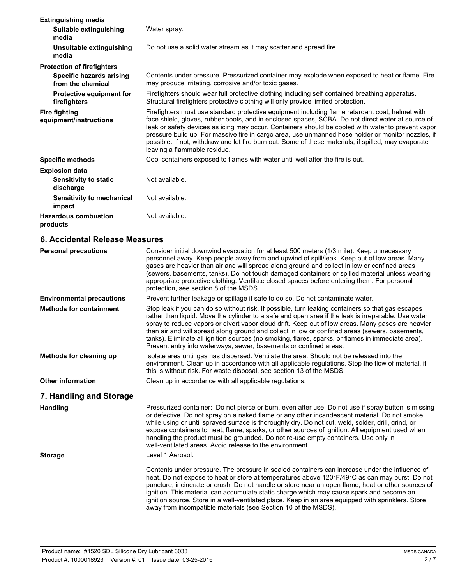| 6. Accidental Release Measures                                     |                                                                                                                                                                                                                                                                                                                                                                                                                                                                                                                                                          |  |
|--------------------------------------------------------------------|----------------------------------------------------------------------------------------------------------------------------------------------------------------------------------------------------------------------------------------------------------------------------------------------------------------------------------------------------------------------------------------------------------------------------------------------------------------------------------------------------------------------------------------------------------|--|
| <b>Hazardous combustion</b><br>products                            | Not available.                                                                                                                                                                                                                                                                                                                                                                                                                                                                                                                                           |  |
| <b>Sensitivity to mechanical</b><br>impact                         | Not available.                                                                                                                                                                                                                                                                                                                                                                                                                                                                                                                                           |  |
| <b>Explosion data</b><br><b>Sensitivity to static</b><br>discharge | Not available.                                                                                                                                                                                                                                                                                                                                                                                                                                                                                                                                           |  |
|                                                                    |                                                                                                                                                                                                                                                                                                                                                                                                                                                                                                                                                          |  |
| <b>Specific methods</b>                                            | Cool containers exposed to flames with water until well after the fire is out.                                                                                                                                                                                                                                                                                                                                                                                                                                                                           |  |
| <b>Fire fighting</b><br>equipment/instructions                     | Firefighters must use standard protective equipment including flame retardant coat, helmet with<br>face shield, gloves, rubber boots, and in enclosed spaces, SCBA. Do not direct water at source of<br>leak or safety devices as icing may occur. Containers should be cooled with water to prevent vapor<br>pressure build up. For massive fire in cargo area, use unmanned hose holder or monitor nozzles, if<br>possible. If not, withdraw and let fire burn out. Some of these materials, if spilled, may evaporate<br>leaving a flammable residue. |  |
| <b>Protective equipment for</b><br>firefighters                    | Firefighters should wear full protective clothing including self contained breathing apparatus.<br>Structural firefighters protective clothing will only provide limited protection.                                                                                                                                                                                                                                                                                                                                                                     |  |
| <b>Specific hazards arising</b><br>from the chemical               | Contents under pressure. Pressurized container may explode when exposed to heat or flame. Fire<br>may produce irritating, corrosive and/or toxic gases.                                                                                                                                                                                                                                                                                                                                                                                                  |  |
| <b>Protection of firefighters</b>                                  |                                                                                                                                                                                                                                                                                                                                                                                                                                                                                                                                                          |  |
| Unsuitable extinguishing<br>media                                  | Do not use a solid water stream as it may scatter and spread fire.                                                                                                                                                                                                                                                                                                                                                                                                                                                                                       |  |
| Suitable extinguishing<br>media                                    | Water spray.                                                                                                                                                                                                                                                                                                                                                                                                                                                                                                                                             |  |
| <b>Extinguishing media</b>                                         |                                                                                                                                                                                                                                                                                                                                                                                                                                                                                                                                                          |  |

| <b>Personal precautions</b>      | Consider initial downwind evacuation for at least 500 meters (1/3 mile). Keep unnecessary<br>personnel away. Keep people away from and upwind of spill/leak. Keep out of low areas. Many<br>gases are heavier than air and will spread along ground and collect in low or confined areas<br>(sewers, basements, tanks). Do not touch damaged containers or spilled material unless wearing<br>appropriate protective clothing. Ventilate closed spaces before entering them. For personal<br>protection, see section 8 of the MSDS.                                                       |  |
|----------------------------------|-------------------------------------------------------------------------------------------------------------------------------------------------------------------------------------------------------------------------------------------------------------------------------------------------------------------------------------------------------------------------------------------------------------------------------------------------------------------------------------------------------------------------------------------------------------------------------------------|--|
| <b>Environmental precautions</b> | Prevent further leakage or spillage if safe to do so. Do not contaminate water.                                                                                                                                                                                                                                                                                                                                                                                                                                                                                                           |  |
| <b>Methods for containment</b>   | Stop leak if you can do so without risk. If possible, turn leaking containers so that gas escapes<br>rather than liquid. Move the cylinder to a safe and open area if the leak is irreparable. Use water<br>spray to reduce vapors or divert vapor cloud drift. Keep out of low areas. Many gases are heavier<br>than air and will spread along ground and collect in low or confined areas (sewers, basements,<br>tanks). Eliminate all ignition sources (no smoking, flares, sparks, or flames in immediate area).<br>Prevent entry into waterways, sewer, basements or confined areas. |  |
| Methods for cleaning up          | Isolate area until gas has dispersed. Ventilate the area. Should not be released into the<br>environment. Clean up in accordance with all applicable regulations. Stop the flow of material, if<br>this is without risk. For waste disposal, see section 13 of the MSDS.                                                                                                                                                                                                                                                                                                                  |  |
| <b>Other information</b>         | Clean up in accordance with all applicable regulations.                                                                                                                                                                                                                                                                                                                                                                                                                                                                                                                                   |  |
| 7. Handling and Storage          |                                                                                                                                                                                                                                                                                                                                                                                                                                                                                                                                                                                           |  |
| <b>Handling</b>                  | Pressurized container: Do not pierce or burn, even after use. Do not use if spray button is missing<br>or defective. Do not spray on a naked flame or any other incandescent material. Do not smoke<br>while using or until sprayed surface is thoroughly dry. Do not cut, weld, solder, drill, grind, or<br>expose containers to heat, flame, sparks, or other sources of ignition. All equipment used when<br>handling the product must be grounded. Do not re-use empty containers. Use only in<br>well-ventilated areas. Avoid release to the environment.                            |  |
| <b>Storage</b>                   | Level 1 Aerosol.                                                                                                                                                                                                                                                                                                                                                                                                                                                                                                                                                                          |  |
|                                  | Contents under pressure. The pressure in sealed containers can increase under the influence of<br>heat. Do not expose to heat or store at temperatures above 120°F/49°C as can may burst. Do not<br>puncture, incinerate or crush. Do not handle or store near an open flame, heat or other sources of<br>ignition. This material can accumulate static charge which may cause spark and become an<br>ignition source. Store in a well-ventilated place. Keep in an area equipped with sprinklers. Store                                                                                  |  |

away from incompatible materials (see Section 10 of the MSDS).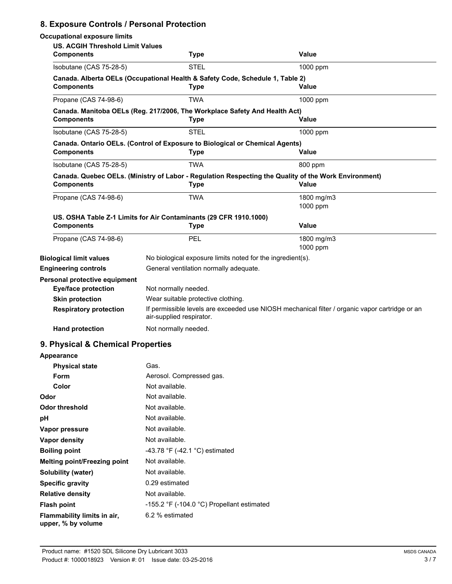### **8. Exposure Controls / Personal Protection**

| <b>Occupational exposure limits</b>                          |                                                                                                                            |                                                                                                               |  |
|--------------------------------------------------------------|----------------------------------------------------------------------------------------------------------------------------|---------------------------------------------------------------------------------------------------------------|--|
| <b>US. ACGIH Threshold Limit Values</b><br><b>Components</b> | <b>Type</b>                                                                                                                | Value                                                                                                         |  |
| Isobutane (CAS 75-28-5)                                      | STEL                                                                                                                       | 1000 ppm                                                                                                      |  |
| <b>Components</b>                                            | Canada. Alberta OELs (Occupational Health & Safety Code, Schedule 1, Table 2)<br><b>Type</b>                               | <b>Value</b>                                                                                                  |  |
| Propane (CAS 74-98-6)                                        | <b>TWA</b>                                                                                                                 | 1000 ppm                                                                                                      |  |
| <b>Components</b>                                            | Canada. Manitoba OELs (Reg. 217/2006, The Workplace Safety And Health Act)<br><b>Type</b>                                  | Value                                                                                                         |  |
| Isobutane (CAS 75-28-5)                                      | <b>STEL</b>                                                                                                                | 1000 ppm                                                                                                      |  |
| <b>Components</b>                                            | Canada. Ontario OELs. (Control of Exposure to Biological or Chemical Agents)<br><b>Type</b>                                | Value                                                                                                         |  |
| Isobutane (CAS 75-28-5)                                      | TWA                                                                                                                        | 800 ppm                                                                                                       |  |
| <b>Components</b>                                            | <b>Type</b>                                                                                                                | Canada. Quebec OELs. (Ministry of Labor - Regulation Respecting the Quality of the Work Environment)<br>Value |  |
| Propane (CAS 74-98-6)                                        | <b>TWA</b>                                                                                                                 | 1800 mg/m3<br>1000 ppm                                                                                        |  |
| <b>Components</b>                                            | US. OSHA Table Z-1 Limits for Air Contaminants (29 CFR 1910.1000)<br><b>Type</b>                                           | <b>Value</b>                                                                                                  |  |
| Propane (CAS 74-98-6)                                        | PEL                                                                                                                        | 1800 mg/m3<br>1000 ppm                                                                                        |  |
| <b>Biological limit values</b>                               | No biological exposure limits noted for the ingredient(s).                                                                 |                                                                                                               |  |
| <b>Engineering controls</b>                                  | General ventilation normally adequate.                                                                                     |                                                                                                               |  |
| Personal protective equipment<br><b>Eye/face protection</b>  | Not normally needed.                                                                                                       |                                                                                                               |  |
| <b>Skin protection</b>                                       | Wear suitable protective clothing.                                                                                         |                                                                                                               |  |
| <b>Respiratory protection</b>                                | If permissible levels are exceeded use NIOSH mechanical filter / organic vapor cartridge or an<br>air-supplied respirator. |                                                                                                               |  |
| <b>Hand protection</b>                                       | Not normally needed.                                                                                                       |                                                                                                               |  |
| 9. Physical & Chemical Properties                            |                                                                                                                            |                                                                                                               |  |
| Appearance                                                   |                                                                                                                            |                                                                                                               |  |
| <b>Physical state</b>                                        | Gas.                                                                                                                       |                                                                                                               |  |
| Form                                                         | Aerosol. Compressed gas.                                                                                                   |                                                                                                               |  |
| Color                                                        | Not available.                                                                                                             |                                                                                                               |  |
| Odor                                                         | Not available.                                                                                                             |                                                                                                               |  |
| <b>Odor threshold</b>                                        | Not available.                                                                                                             |                                                                                                               |  |
| pН                                                           | Not available.                                                                                                             |                                                                                                               |  |

| UUUL UILESIIVIU                                   | <u>ivul avaliault.</u>                                       |
|---------------------------------------------------|--------------------------------------------------------------|
| рH                                                | Not available.                                               |
| Vapor pressure                                    | Not available.                                               |
| Vapor density                                     | Not available.                                               |
| <b>Boiling point</b>                              | -43.78 °F (-42.1 °C) estimated                               |
| <b>Melting point/Freezing point</b>               | Not available.                                               |
| Solubility (water)                                | Not available.                                               |
| <b>Specific gravity</b>                           | 0.29 estimated                                               |
| <b>Relative density</b>                           | Not available.                                               |
| <b>Flash point</b>                                | -155.2 $\degree$ F (-104.0 $\degree$ C) Propellant estimated |
| Flammability limits in air,<br>upper, % by volume | 6.2 % estimated                                              |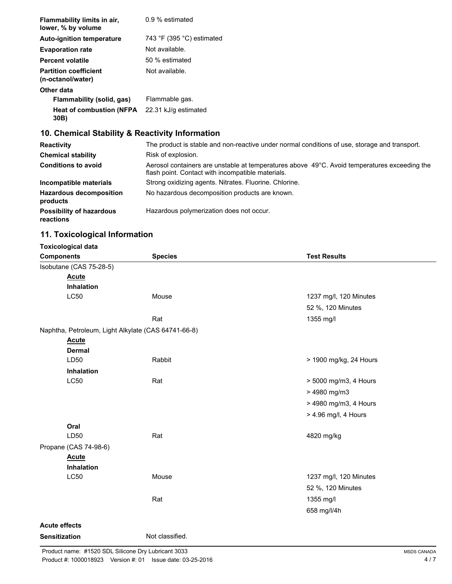| Flammability limits in air,<br>lower, % by volume | 0.9 % estimated           |
|---------------------------------------------------|---------------------------|
| <b>Auto-ignition temperature</b>                  | 743 °F (395 °C) estimated |
| <b>Evaporation rate</b>                           | Not available.            |
| <b>Percent volatile</b>                           | 50 % estimated            |
| <b>Partition coefficient</b><br>(n-octanol/water) | Not available.            |
| Other data                                        |                           |
| Flammability (solid, gas)                         | Flammable gas.            |
| <b>Heat of combustion (NFPA)</b><br>30B)          | 22.31 kJ/g estimated      |

## **10. Chemical Stability & Reactivity Information**

| Reactivity                                   | The product is stable and non-reactive under normal conditions of use, storage and transport.                                                     |  |  |
|----------------------------------------------|---------------------------------------------------------------------------------------------------------------------------------------------------|--|--|
| <b>Chemical stability</b>                    | Risk of explosion.                                                                                                                                |  |  |
| <b>Conditions to avoid</b>                   | Aerosol containers are unstable at temperatures above 49°C. Avoid temperatures exceeding the<br>flash point. Contact with incompatible materials. |  |  |
| Incompatible materials                       | Strong oxidizing agents. Nitrates. Fluorine. Chlorine.                                                                                            |  |  |
| <b>Hazardous decomposition</b><br>products   | No hazardous decomposition products are known.                                                                                                    |  |  |
| <b>Possibility of hazardous</b><br>reactions | Hazardous polymerization does not occur.                                                                                                          |  |  |

### **11. Toxicological Information**

| <b>Toxicological data</b> |                                                     |                        |
|---------------------------|-----------------------------------------------------|------------------------|
| <b>Components</b>         | <b>Species</b>                                      | <b>Test Results</b>    |
| Isobutane (CAS 75-28-5)   |                                                     |                        |
| <b>Acute</b>              |                                                     |                        |
| Inhalation                |                                                     |                        |
| <b>LC50</b>               | Mouse                                               | 1237 mg/l, 120 Minutes |
|                           |                                                     | 52 %, 120 Minutes      |
|                           | Rat                                                 | 1355 mg/l              |
|                           | Naphtha, Petroleum, Light Alkylate (CAS 64741-66-8) |                        |
| <b>Acute</b>              |                                                     |                        |
| <b>Dermal</b>             |                                                     |                        |
| LD50                      | Rabbit                                              | > 1900 mg/kg, 24 Hours |
| Inhalation                |                                                     |                        |
| <b>LC50</b>               | Rat                                                 | > 5000 mg/m3, 4 Hours  |
|                           |                                                     | > 4980 mg/m3           |
|                           |                                                     | > 4980 mg/m3, 4 Hours  |
|                           |                                                     | > 4.96 mg/l, 4 Hours   |
| Oral                      |                                                     |                        |
| LD50                      | Rat                                                 | 4820 mg/kg             |
| Propane (CAS 74-98-6)     |                                                     |                        |
| <b>Acute</b>              |                                                     |                        |
| <b>Inhalation</b>         |                                                     |                        |
| <b>LC50</b>               | Mouse                                               | 1237 mg/l, 120 Minutes |
|                           |                                                     | 52 %, 120 Minutes      |
|                           | Rat                                                 | 1355 mg/l              |
|                           |                                                     | 658 mg/l/4h            |
| <b>Acute effects</b>      |                                                     |                        |
|                           | Not classified.                                     |                        |
| <b>Sensitization</b>      |                                                     |                        |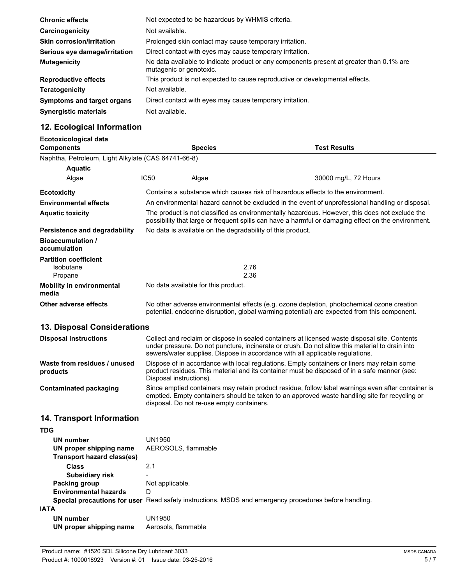| <b>Chronic effects</b>            | Not expected to be hazardous by WHMIS criteria.                                                                     |  |  |
|-----------------------------------|---------------------------------------------------------------------------------------------------------------------|--|--|
| Carcinogenicity                   | Not available.                                                                                                      |  |  |
| <b>Skin corrosion/irritation</b>  | Prolonged skin contact may cause temporary irritation.                                                              |  |  |
| Serious eye damage/irritation     | Direct contact with eyes may cause temporary irritation.                                                            |  |  |
| <b>Mutagenicity</b>               | No data available to indicate product or any components present at greater than 0.1% are<br>mutagenic or genotoxic. |  |  |
| <b>Reproductive effects</b>       | This product is not expected to cause reproductive or developmental effects.                                        |  |  |
| <b>Teratogenicity</b>             | Not available.                                                                                                      |  |  |
| <b>Symptoms and target organs</b> | Direct contact with eyes may cause temporary irritation.                                                            |  |  |
| <b>Synergistic materials</b>      | Not available.                                                                                                      |  |  |

### **12. Ecological Information**

| Ecotoxicological data<br><b>Components</b>          |                                                                                                                                                                                                                                                                                  | <b>Species</b>                                             | <b>Test Results</b>  |
|-----------------------------------------------------|----------------------------------------------------------------------------------------------------------------------------------------------------------------------------------------------------------------------------------------------------------------------------------|------------------------------------------------------------|----------------------|
| Naphtha, Petroleum, Light Alkylate (CAS 64741-66-8) |                                                                                                                                                                                                                                                                                  |                                                            |                      |
| <b>Aquatic</b>                                      |                                                                                                                                                                                                                                                                                  |                                                            |                      |
| Algae                                               | <b>IC50</b>                                                                                                                                                                                                                                                                      | Algae                                                      | 30000 mg/L, 72 Hours |
| <b>Ecotoxicity</b>                                  | Contains a substance which causes risk of hazardous effects to the environment.                                                                                                                                                                                                  |                                                            |                      |
| <b>Environmental effects</b>                        | An environmental hazard cannot be excluded in the event of unprofessional handling or disposal.                                                                                                                                                                                  |                                                            |                      |
| <b>Aquatic toxicity</b>                             | The product is not classified as environmentally hazardous. However, this does not exclude the<br>possibility that large or frequent spills can have a harmful or damaging effect on the environment.                                                                            |                                                            |                      |
| Persistence and degradability                       |                                                                                                                                                                                                                                                                                  | No data is available on the degradability of this product. |                      |
| <b>Bioaccumulation</b> /<br>accumulation            |                                                                                                                                                                                                                                                                                  |                                                            |                      |
| <b>Partition coefficient</b>                        |                                                                                                                                                                                                                                                                                  |                                                            |                      |
| Isobutane                                           | 2.76                                                                                                                                                                                                                                                                             |                                                            |                      |
| Propane                                             | 2.36                                                                                                                                                                                                                                                                             |                                                            |                      |
| <b>Mobility in environmental</b><br>media           | No data available for this product.                                                                                                                                                                                                                                              |                                                            |                      |
| Other adverse effects                               | No other adverse environmental effects (e.g. ozone depletion, photochemical ozone creation<br>potential, endocrine disruption, global warming potential) are expected from this component.                                                                                       |                                                            |                      |
| <b>13. Disposal Considerations</b>                  |                                                                                                                                                                                                                                                                                  |                                                            |                      |
| <b>Disposal instructions</b>                        | Collect and reclaim or dispose in sealed containers at licensed waste disposal site. Contents<br>under pressure. Do not puncture, incinerate or crush. Do not allow this material to drain into<br>sewers/water supplies. Dispose in accordance with all applicable regulations. |                                                            |                      |
| Waste from residues / unused<br>products            | Dispose of in accordance with local regulations. Empty containers or liners may retain some<br>product residues. This material and its container must be disposed of in a safe manner (see:<br>Disposal instructions).                                                           |                                                            |                      |

Since emptied containers may retain product residue, follow label warnings even after container is emptied. Empty containers should be taken to an approved waste handling site for recycling or

**Contaminated packaging**

### **14. Transport Information**

| TDG                          |                                                                                                       |
|------------------------------|-------------------------------------------------------------------------------------------------------|
| UN number                    | <b>UN1950</b>                                                                                         |
| UN proper shipping name      | AEROSOLS, flammable                                                                                   |
| Transport hazard class(es)   |                                                                                                       |
| Class                        | 2.1                                                                                                   |
| <b>Subsidiary risk</b>       |                                                                                                       |
| Packing group                | Not applicable.                                                                                       |
| <b>Environmental hazards</b> | D                                                                                                     |
|                              | Special precautions for user Read safety instructions, MSDS and emergency procedures before handling. |
| IATA                         |                                                                                                       |
| UN number                    | UN1950                                                                                                |
| UN proper shipping name      | Aerosols, flammable                                                                                   |

disposal. Do not re-use empty containers.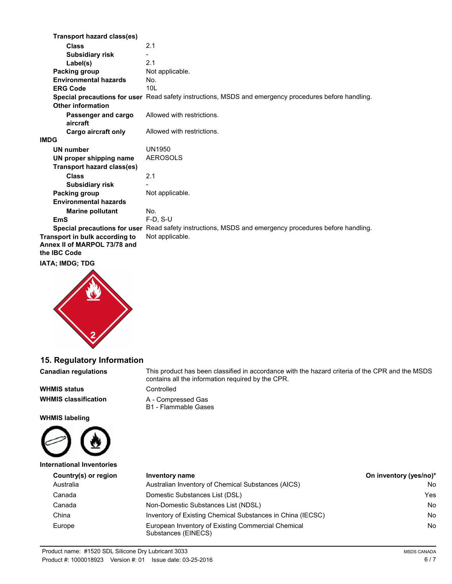|      | Transport hazard class(es)                                                     |                                                                                                       |
|------|--------------------------------------------------------------------------------|-------------------------------------------------------------------------------------------------------|
|      | <b>Class</b>                                                                   | 2.1                                                                                                   |
|      | <b>Subsidiary risk</b>                                                         |                                                                                                       |
|      | Label(s)                                                                       | 2.1                                                                                                   |
|      | Packing group                                                                  | Not applicable.                                                                                       |
|      | <b>Environmental hazards</b>                                                   | No.                                                                                                   |
|      | <b>ERG Code</b>                                                                | 10I                                                                                                   |
|      | Other information                                                              | Special precautions for user Read safety instructions, MSDS and emergency procedures before handling. |
|      |                                                                                |                                                                                                       |
|      | Passenger and cargo<br>aircraft                                                | Allowed with restrictions.                                                                            |
|      | Cargo aircraft only                                                            | Allowed with restrictions.                                                                            |
| IMDG |                                                                                |                                                                                                       |
|      | <b>UN number</b>                                                               | UN1950                                                                                                |
|      | UN proper shipping name                                                        | <b>AEROSOLS</b>                                                                                       |
|      | <b>Transport hazard class(es)</b>                                              |                                                                                                       |
|      | <b>Class</b>                                                                   | 2.1                                                                                                   |
|      | <b>Subsidiary risk</b>                                                         |                                                                                                       |
|      | Packing group                                                                  | Not applicable.                                                                                       |
|      | <b>Environmental hazards</b>                                                   |                                                                                                       |
|      | <b>Marine pollutant</b>                                                        | No.                                                                                                   |
|      | <b>EmS</b>                                                                     | $F-D. S-U$                                                                                            |
|      |                                                                                | Special precautions for user Read safety instructions, MSDS and emergency procedures before handling. |
|      | Transport in bulk according to<br>Annex II of MARPOL 73/78 and<br>the IBC Code | Not applicable.                                                                                       |
|      |                                                                                |                                                                                                       |

#### **IATA; IMDG; TDG**



### **15. Regulatory Information**

**Canadian regulations**

**WHMIS status** Controlled

**WHMIS labeling**



This product has been classified in accordance with the hazard criteria of the CPR and the MSDS contains all the information required by the CPR.

**WHMIS classification** A - Compressed Gas B1 - Flammable Gases

| International Inventories |                                                                           |                        |  |
|---------------------------|---------------------------------------------------------------------------|------------------------|--|
| Country(s) or region      | Inventory name                                                            | On inventory (yes/no)* |  |
| Australia                 | Australian Inventory of Chemical Substances (AICS)                        | No.                    |  |
| Canada                    | Domestic Substances List (DSL)                                            | Yes.                   |  |
| Canada                    | Non-Domestic Substances List (NDSL)                                       | No.                    |  |
| China                     | Inventory of Existing Chemical Substances in China (IECSC)                | No.                    |  |
| Europe                    | European Inventory of Existing Commercial Chemical<br>Substances (EINECS) | No.                    |  |